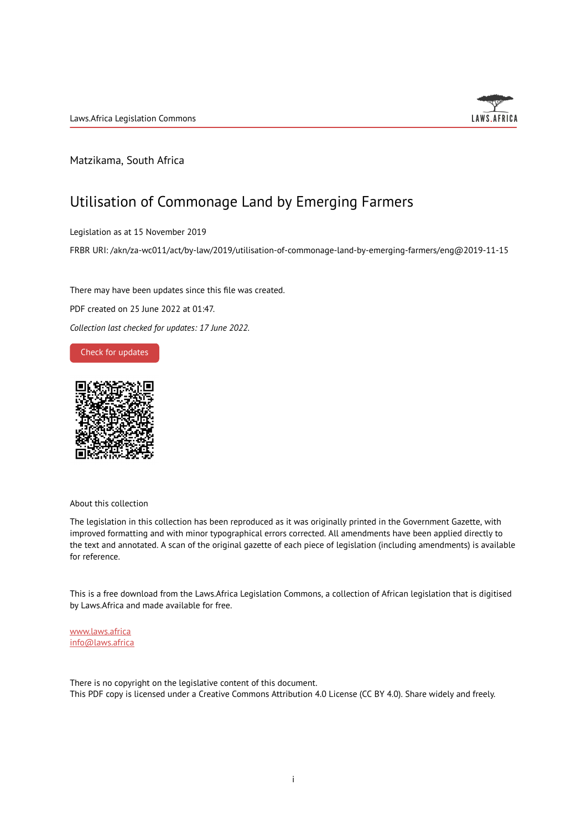

# Matzikama, South Africa

# Utilisation of Commonage Land by Emerging Farmers

Legislation as at 15 November 2019

FRBR URI: /akn/za-wc011/act/by-law/2019/utilisation-of-commonage-land-by-emerging-farmers/eng@2019-11-15

There may have been updates since this file was created.

PDF created on 25 June 2022 at 01:47.

*Collection last checked for updates: 17 June 2022*.

Check for [updates](https://commons.laws.africa/akn/za-wc011/act/by-law/2019/utilisation-of-commonage-land-by-emerging-farmers/eng@2019-11-15?ts=2022-06-25T01:47:10.426513+00:00)



About this collection

The legislation in this collection has been reproduced as it was originally printed in the Government Gazette, with improved formatting and with minor typographical errors corrected. All amendments have been applied directly to the text and annotated. A scan of the original gazette of each piece of legislation (including amendments) is available for reference.

This is a free download from the Laws.Africa Legislation Commons, a collection of African legislation that is digitised by Laws.Africa and made available for free.

[www.laws.africa](https://www.laws.africa) [info@laws.africa](mailto:info@laws.africa)

There is no copyright on the legislative content of this document. This PDF copy is licensed under a Creative Commons Attribution 4.0 License (CC BY 4.0). Share widely and freely.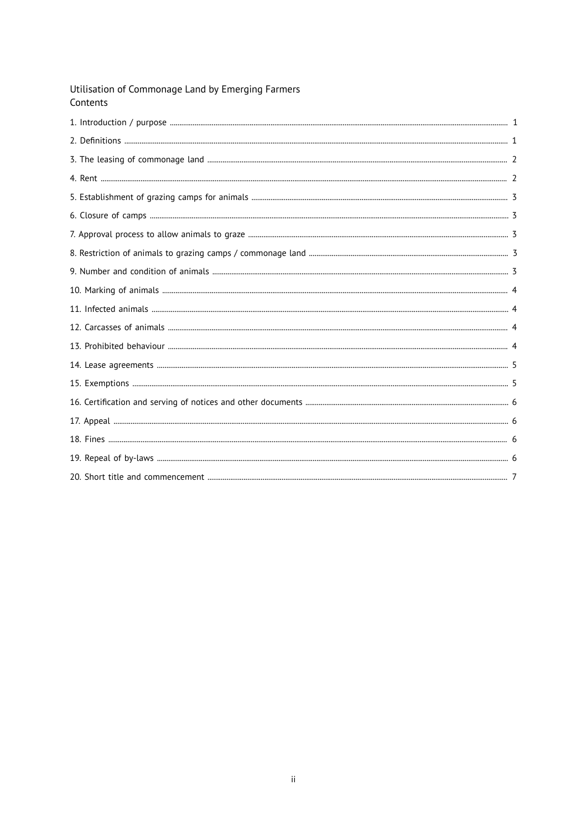| Contents |  |
|----------|--|
|          |  |
|          |  |
|          |  |
|          |  |
|          |  |
|          |  |
|          |  |
|          |  |
|          |  |
|          |  |
|          |  |
|          |  |
|          |  |
|          |  |
|          |  |
|          |  |
|          |  |
|          |  |
|          |  |
|          |  |

# Utilisation of Commonage Land by Emerging Farmers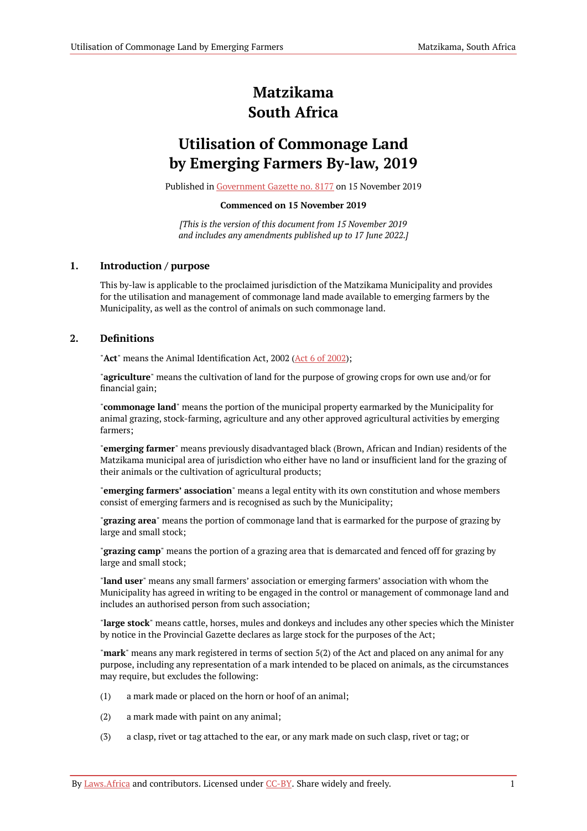# **Matzikama South Africa**

# **Utilisation of Commonage Land by Emerging Farmers By-law, 2019**

Published in [Government](https://commons.laws.africa/akn/za-wc011/act/by-law/2019/utilisation-of-commonage-land-by-emerging-farmers/media/publication/za-wc011-act-by-law-2019-utilisation-of-commonage-land-by-emerging-farmers-publication-document.pdf) Gazette no. 8177 on 15 November 2019

#### **Commenced on 15 November 2019**

*[This is the version of this document from 15 November 2019 and includes any amendments published up to 17 June 2022.]*

### <span id="page-2-0"></span>**1. Introduction / purpose**

This by-law is applicable to the proclaimed jurisdiction of the Matzikama Municipality and provides for the utilisation and management of commonage land made available to emerging farmers by the Municipality, as well as the control of animals on such commonage land.

# <span id="page-2-1"></span>**2. Definitions**

"**Act**" means the Animal Identification Act, 2002 (Act 6 of [2002](https://resolver.laws.africa/resolve/akn/za/act/2002/6));

"**agriculture**" means the cultivation of land for the purpose of growing crops for own use and/or for financial gain;

"**commonage land**" means the portion of the municipal property earmarked by the Municipality for animal grazing, stock-farming, agriculture and any other approved agricultural activities by emerging farmers;

"**emerging farmer**" means previously disadvantaged black (Brown, African and Indian) residents of the Matzikama municipal area of jurisdiction who either have no land or insufficient land for the grazing of their animals or the cultivation of agricultural products;

"**emerging farmers' association**" means a legal entity with its own constitution and whose members consist of emerging farmers and is recognised as such by the Municipality;

"**grazing area**" means the portion of commonage land that is earmarked for the purpose of grazing by large and small stock;

"**grazing camp**" means the portion of a grazing area that is demarcated and fenced off for grazing by large and small stock;

"**land user**" means any small farmers' association or emerging farmers' association with whom the Municipality has agreed in writing to be engaged in the control or management of commonage land and includes an authorised person from such association;

"**large stock**" means cattle, horses, mules and donkeys and includes any other species which the Minister by notice in the Provincial Gazette declares as large stock for the purposes of the Act;

"**mark**" means any mark registered in terms of section 5(2) of the Act and placed on any animal for any purpose, including any representation of a mark intended to be placed on animals, as the circumstances may require, but excludes the following:

- (1) a mark made or placed on the horn or hoof of an animal;
- (2) a mark made with paint on any animal;
- (3) a clasp, rivet or tag attached to the ear, or any mark made on such clasp, rivet or tag; or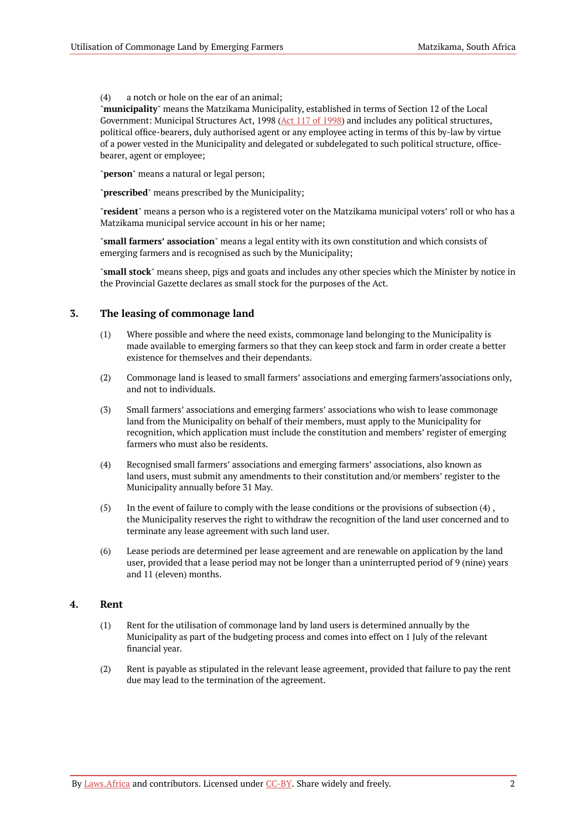(4) a notch or hole on the ear of an animal;

"**municipality**" means the Matzikama Municipality, established in terms of Section 12 of the Local Government: Municipal Structures Act, 1998 (Act 117 of [1998\)](https://resolver.laws.africa/resolve/akn/za/act/1998/117) and includes any political structures, political office-bearers, duly authorised agent or any employee acting in terms of this by-law by virtue of a power vested in the Municipality and delegated or subdelegated to such political structure, officebearer, agent or employee;

"**person**" means a natural or legal person;

"**prescribed**" means prescribed by the Municipality;

"**resident**" means a person who is a registered voter on the Matzikama municipal voters' roll or who has a Matzikama municipal service account in his or her name;

"**small farmers' association**" means a legal entity with its own constitution and which consists of emerging farmers and is recognised as such by the Municipality;

"**small stock**" means sheep, pigs and goats and includes any other species which the Minister by notice in the Provincial Gazette declares as small stock for the purposes of the Act.

# <span id="page-3-0"></span>**3. The leasing of commonage land**

- (1) Where possible and where the need exists, commonage land belonging to the Municipality is made available to emerging farmers so that they can keep stock and farm in order create a better existence for themselves and their dependants.
- (2) Commonage land is leased to small farmers' associations and emerging farmers'associations only, and not to individuals.
- (3) Small farmers' associations and emerging farmers' associations who wish to lease commonage land from the Municipality on behalf of their members, must apply to the Municipality for recognition, which application must include the constitution and members' register of emerging farmers who must also be residents.
- (4) Recognised small farmers' associations and emerging farmers' associations, also known as land users, must submit any amendments to their constitution and/or members' register to the Municipality annually before 31 May.
- (5) In the event of failure to comply with the lease conditions or the provisions of subsection  $(4)$ , the Municipality reserves the right to withdraw the recognition of the land user concerned and to terminate any lease agreement with such land user.
- (6) Lease periods are determined per lease agreement and are renewable on application by the land user, provided that a lease period may not be longer than a uninterrupted period of 9 (nine) years and 11 (eleven) months.

### <span id="page-3-1"></span>**4. Rent**

- (1) Rent for the utilisation of commonage land by land users is determined annually by the Municipality as part of the budgeting process and comes into effect on 1 July of the relevant financial year.
- (2) Rent is payable as stipulated in the relevant lease agreement, provided that failure to pay the rent due may lead to the termination of the agreement.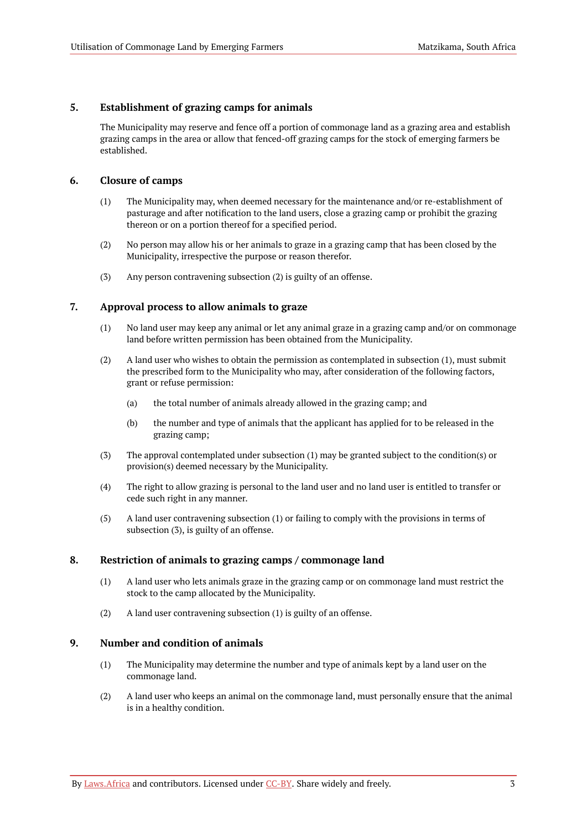# <span id="page-4-0"></span>**5. Establishment of grazing camps for animals**

The Municipality may reserve and fence off a portion of commonage land as a grazing area and establish grazing camps in the area or allow that fenced-off grazing camps for the stock of emerging farmers be established.

# <span id="page-4-1"></span>**6. Closure of camps**

- (1) The Municipality may, when deemed necessary for the maintenance and/or re-establishment of pasturage and after notification to the land users, close a grazing camp or prohibit the grazing thereon or on a portion thereof for a specified period.
- (2) No person may allow his or her animals to graze in a grazing camp that has been closed by the Municipality, irrespective the purpose or reason therefor.
- (3) Any person contravening subsection (2) is guilty of an offense.

# <span id="page-4-2"></span>**7. Approval process to allow animals to graze**

- (1) No land user may keep any animal or let any animal graze in a grazing camp and/or on commonage land before written permission has been obtained from the Municipality.
- (2) A land user who wishes to obtain the permission as contemplated in subsection (1), must submit the prescribed form to the Municipality who may, after consideration of the following factors, grant or refuse permission:
	- (a) the total number of animals already allowed in the grazing camp; and
	- (b) the number and type of animals that the applicant has applied for to be released in the grazing camp;
- (3) The approval contemplated under subsection (1) may be granted subject to the condition(s) or provision(s) deemed necessary by the Municipality.
- (4) The right to allow grazing is personal to the land user and no land user is entitled to transfer or cede such right in any manner.
- (5) A land user contravening subsection (1) or failing to comply with the provisions in terms of subsection (3), is guilty of an offense.

### <span id="page-4-3"></span>**8. Restriction of animals to grazing camps / commonage land**

- (1) A land user who lets animals graze in the grazing camp or on commonage land must restrict the stock to the camp allocated by the Municipality.
- (2) A land user contravening subsection (1) is guilty of an offense.

# <span id="page-4-4"></span>**9. Number and condition of animals**

- (1) The Municipality may determine the number and type of animals kept by a land user on the commonage land.
- (2) A land user who keeps an animal on the commonage land, must personally ensure that the animal is in a healthy condition.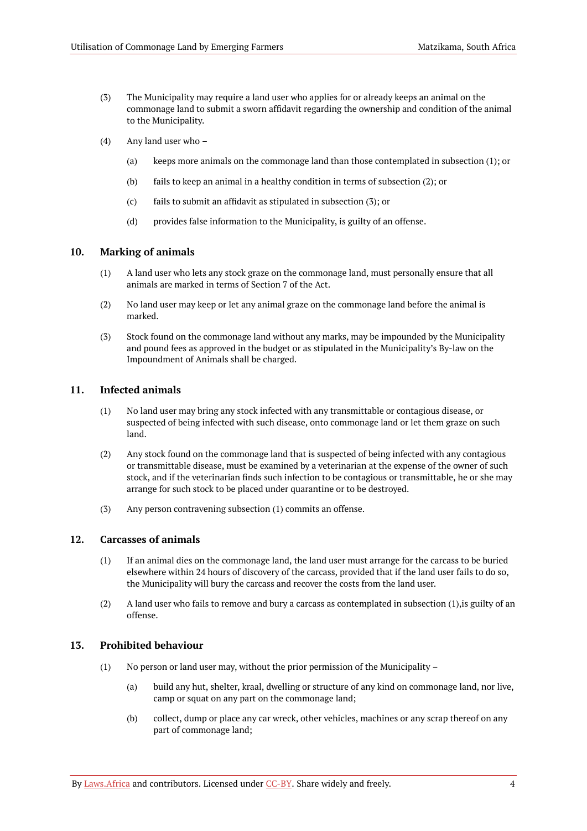- (3) The Municipality may require a land user who applies for or already keeps an animal on the commonage land to submit a sworn affidavit regarding the ownership and condition of the animal to the Municipality.
- (4) Any land user who
	- (a) keeps more animals on the commonage land than those contemplated in subsection (1); or
	- (b) fails to keep an animal in a healthy condition in terms of subsection (2); or
	- (c) fails to submit an affidavit as stipulated in subsection (3); or
	- (d) provides false information to the Municipality, is guilty of an offense.

### <span id="page-5-0"></span>**10. Marking of animals**

- (1) A land user who lets any stock graze on the commonage land, must personally ensure that all animals are marked in terms of Section 7 of the Act.
- (2) No land user may keep or let any animal graze on the commonage land before the animal is marked.
- (3) Stock found on the commonage land without any marks, may be impounded by the Municipality and pound fees as approved in the budget or as stipulated in the Municipality's By-law on the Impoundment of Animals shall be charged.

### <span id="page-5-1"></span>**11. Infected animals**

- (1) No land user may bring any stock infected with any transmittable or contagious disease, or suspected of being infected with such disease, onto commonage land or let them graze on such land.
- (2) Any stock found on the commonage land that is suspected of being infected with any contagious or transmittable disease, must be examined by a veterinarian at the expense of the owner of such stock, and if the veterinarian finds such infection to be contagious or transmittable, he or she may arrange for such stock to be placed under quarantine or to be destroyed.
- (3) Any person contravening subsection (1) commits an offense.

# <span id="page-5-2"></span>**12. Carcasses of animals**

- (1) If an animal dies on the commonage land, the land user must arrange for the carcass to be buried elsewhere within 24 hours of discovery of the carcass, provided that if the land user fails to do so, the Municipality will bury the carcass and recover the costs from the land user.
- (2) A land user who fails to remove and bury a carcass as contemplated in subsection (1),is guilty of an offense.

### <span id="page-5-3"></span>**13. Prohibited behaviour**

- (1) No person or land user may, without the prior permission of the Municipality
	- (a) build any hut, shelter, kraal, dwelling or structure of any kind on commonage land, nor live, camp or squat on any part on the commonage land;
	- (b) collect, dump or place any car wreck, other vehicles, machines or any scrap thereof on any part of commonage land;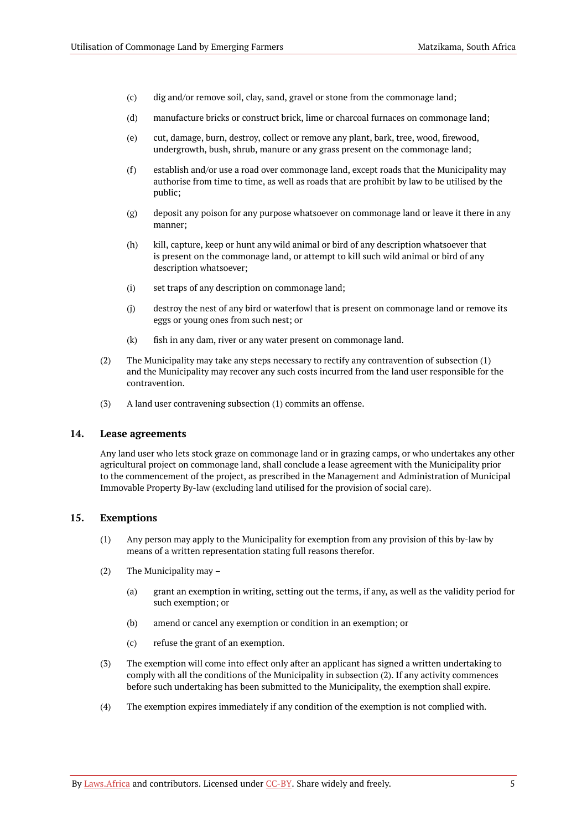- (c) dig and/or remove soil, clay, sand, gravel or stone from the commonage land;
- (d) manufacture bricks or construct brick, lime or charcoal furnaces on commonage land;
- (e) cut, damage, burn, destroy, collect or remove any plant, bark, tree, wood, firewood, undergrowth, bush, shrub, manure or any grass present on the commonage land;
- (f) establish and/or use a road over commonage land, except roads that the Municipality may authorise from time to time, as well as roads that are prohibit by law to be utilised by the public;
- (g) deposit any poison for any purpose whatsoever on commonage land or leave it there in any manner;
- (h) kill, capture, keep or hunt any wild animal or bird of any description whatsoever that is present on the commonage land, or attempt to kill such wild animal or bird of any description whatsoever;
- (i) set traps of any description on commonage land;
- (j) destroy the nest of any bird or waterfowl that is present on commonage land or remove its eggs or young ones from such nest; or
- (k) fish in any dam, river or any water present on commonage land.
- (2) The Municipality may take any steps necessary to rectify any contravention of subsection (1) and the Municipality may recover any such costs incurred from the land user responsible for the contravention.
- (3) A land user contravening subsection (1) commits an offense.

#### <span id="page-6-0"></span>**14. Lease agreements**

Any land user who lets stock graze on commonage land or in grazing camps, or who undertakes any other agricultural project on commonage land, shall conclude a lease agreement with the Municipality prior to the commencement of the project, as prescribed in the Management and Administration of Municipal Immovable Property By-law (excluding land utilised for the provision of social care).

### <span id="page-6-1"></span>**15. Exemptions**

- (1) Any person may apply to the Municipality for exemption from any provision of this by-law by means of a written representation stating full reasons therefor.
- (2) The Municipality may
	- (a) grant an exemption in writing, setting out the terms, if any, as well as the validity period for such exemption; or
	- (b) amend or cancel any exemption or condition in an exemption; or
	- (c) refuse the grant of an exemption.
- (3) The exemption will come into effect only after an applicant has signed a written undertaking to comply with all the conditions of the Municipality in subsection (2). If any activity commences before such undertaking has been submitted to the Municipality, the exemption shall expire.
- (4) The exemption expires immediately if any condition of the exemption is not complied with.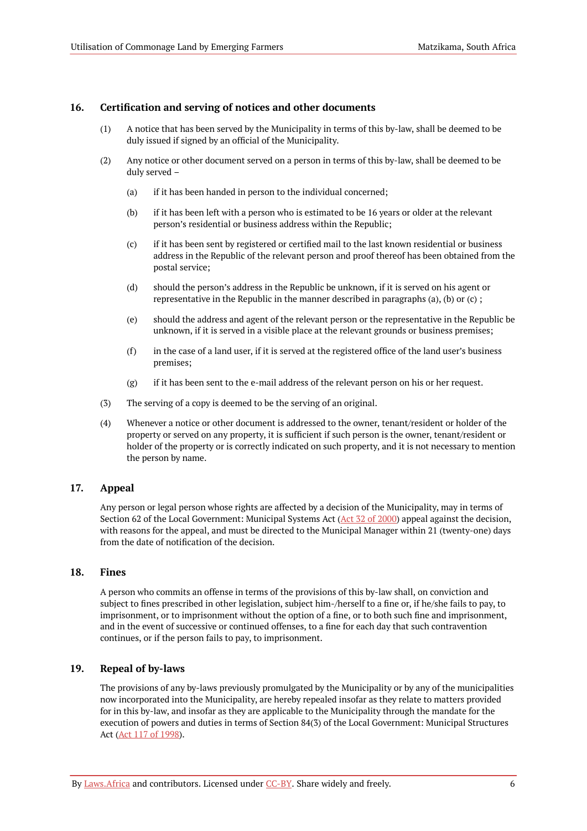# <span id="page-7-0"></span>**16. Certification and serving of notices and other documents**

- (1) A notice that has been served by the Municipality in terms of this by-law, shall be deemed to be duly issued if signed by an official of the Municipality.
- (2) Any notice or other document served on a person in terms of this by-law, shall be deemed to be duly served –
	- (a) if it has been handed in person to the individual concerned;
	- (b) if it has been left with a person who is estimated to be 16 years or older at the relevant person's residential or business address within the Republic;
	- (c) if it has been sent by registered or certified mail to the last known residential or business address in the Republic of the relevant person and proof thereof has been obtained from the postal service;
	- (d) should the person's address in the Republic be unknown, if it is served on his agent or representative in the Republic in the manner described in paragraphs (a), (b) or  $(c)$ :
	- (e) should the address and agent of the relevant person or the representative in the Republic be unknown, if it is served in a visible place at the relevant grounds or business premises;
	- (f) in the case of a land user, if it is served at the registered office of the land user's business premises;
	- (g) if it has been sent to the e-mail address of the relevant person on his or her request.
- (3) The serving of a copy is deemed to be the serving of an original.
- (4) Whenever a notice or other document is addressed to the owner, tenant/resident or holder of the property or served on any property, it is sufficient if such person is the owner, tenant/resident or holder of the property or is correctly indicated on such property, and it is not necessary to mention the person by name.

### <span id="page-7-1"></span>**17. Appeal**

Any person or legal person whose rights are affected by a decision of the Municipality, may in terms of Section 62 of the Local Government: Municipal Systems Act (Act 32 of [2000](https://resolver.laws.africa/resolve/akn/za/act/2000/32)) appeal against the decision, with reasons for the appeal, and must be directed to the Municipal Manager within 21 (twenty-one) days from the date of notification of the decision.

#### <span id="page-7-2"></span>**18. Fines**

A person who commits an offense in terms of the provisions of this by-law shall, on conviction and subject to fines prescribed in other legislation, subject him-/herself to a fine or, if he/she fails to pay, to imprisonment, or to imprisonment without the option of a fine, or to both such fine and imprisonment, and in the event of successive or continued offenses, to a fine for each day that such contravention continues, or if the person fails to pay, to imprisonment.

### <span id="page-7-3"></span>**19. Repeal of by-laws**

The provisions of any by-laws previously promulgated by the Municipality or by any of the municipalities now incorporated into the Municipality, are hereby repealed insofar as they relate to matters provided for in this by-law, and insofar as they are applicable to the Municipality through the mandate for the execution of powers and duties in terms of Section 84(3) of the Local Government: Municipal Structures Act (Act 117 of [1998\)](https://resolver.laws.africa/resolve/akn/za/act/1998/117).